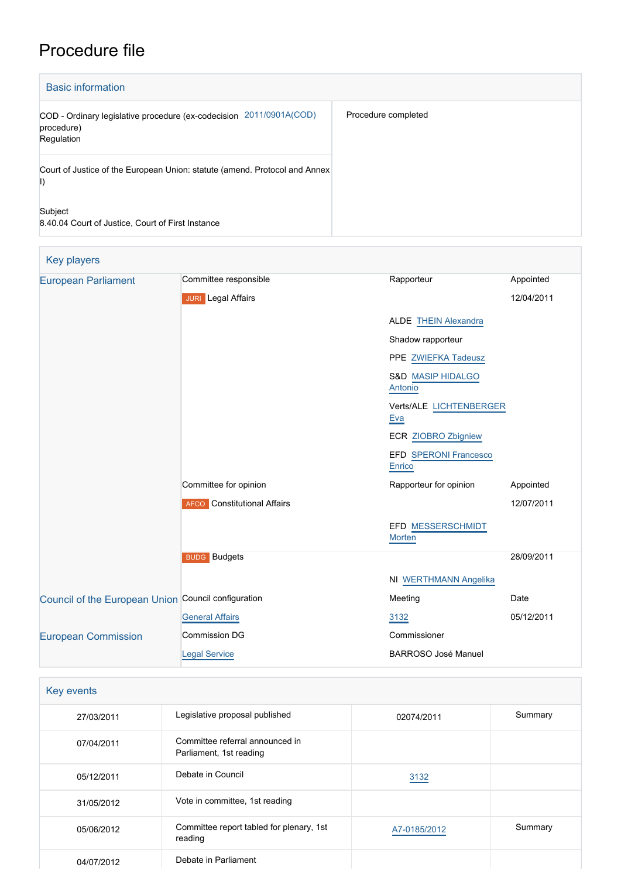# Procedure file

| <b>Basic information</b>                                                                           |                     |  |  |
|----------------------------------------------------------------------------------------------------|---------------------|--|--|
| 2011/0901A(COD)<br>COD - Ordinary legislative procedure (ex-codecision<br>procedure)<br>Regulation | Procedure completed |  |  |
| Court of Justice of the European Union: statute (amend. Protocol and Annex)<br>$\vert$             |                     |  |  |
| Subject<br>8.40.04 Court of Justice, Court of First Instance                                       |                     |  |  |

| Key players                                         |                                    |                                         |            |
|-----------------------------------------------------|------------------------------------|-----------------------------------------|------------|
| <b>European Parliament</b>                          | Committee responsible              | Rapporteur                              | Appointed  |
|                                                     | <b>JURI</b> Legal Affairs          |                                         | 12/04/2011 |
|                                                     |                                    | <b>ALDE THEIN Alexandra</b>             |            |
|                                                     |                                    | Shadow rapporteur                       |            |
|                                                     |                                    | PPE ZWIEFKA Tadeusz                     |            |
|                                                     |                                    | <b>S&amp;D MASIP HIDALGO</b><br>Antonio |            |
|                                                     |                                    | Verts/ALE LICHTENBERGER<br>Eva          |            |
|                                                     |                                    | ECR ZIOBRO Zbigniew                     |            |
|                                                     |                                    | EFD SPERONI Francesco<br>Enrico         |            |
|                                                     | Committee for opinion              | Rapporteur for opinion                  | Appointed  |
|                                                     | <b>AFCO</b> Constitutional Affairs |                                         | 12/07/2011 |
|                                                     |                                    | EFD MESSERSCHMIDT<br>Morten             |            |
|                                                     | <b>BUDG</b> Budgets                |                                         | 28/09/2011 |
|                                                     |                                    | NI WERTHMANN Angelika                   |            |
| Council of the European Union Council configuration |                                    | Meeting                                 | Date       |
|                                                     | <b>General Affairs</b>             | 3132                                    | 05/12/2011 |
| <b>European Commission</b>                          | <b>Commission DG</b>               | Commissioner                            |            |
|                                                     | <b>Legal Service</b>               | <b>BARROSO José Manuel</b>              |            |
|                                                     |                                    |                                         |            |

| Key events |                                                            |              |         |
|------------|------------------------------------------------------------|--------------|---------|
| 27/03/2011 | Legislative proposal published                             | 02074/2011   | Summary |
| 07/04/2011 | Committee referral announced in<br>Parliament, 1st reading |              |         |
| 05/12/2011 | Debate in Council                                          | 3132         |         |
| 31/05/2012 | Vote in committee, 1st reading                             |              |         |
| 05/06/2012 | Committee report tabled for plenary, 1st<br>reading        | A7-0185/2012 | Summary |
| 04/07/2012 | Debate in Parliament                                       |              |         |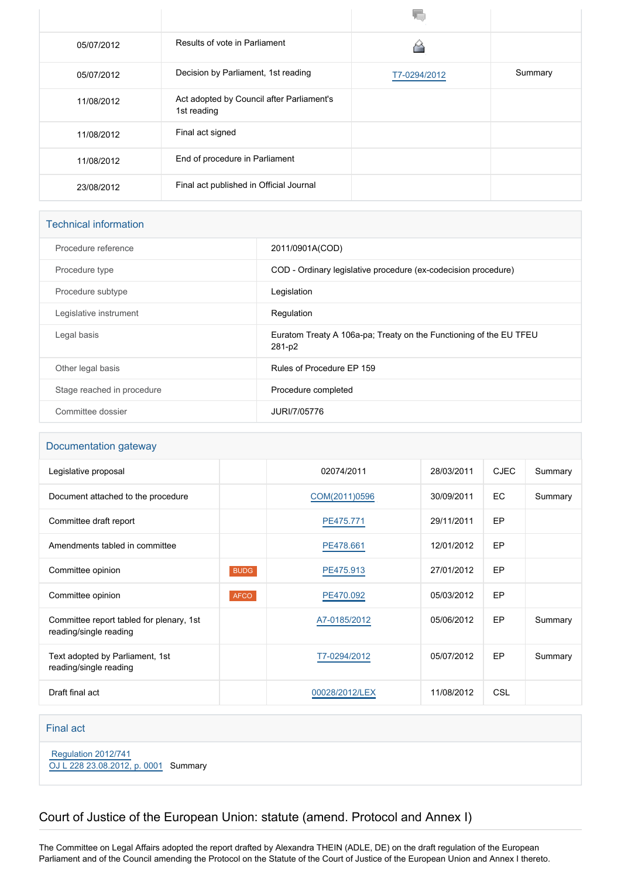| 05/07/2012 | Results of vote in Parliament                            |              |         |
|------------|----------------------------------------------------------|--------------|---------|
| 05/07/2012 | Decision by Parliament, 1st reading                      | T7-0294/2012 | Summary |
| 11/08/2012 | Act adopted by Council after Parliament's<br>1st reading |              |         |
| 11/08/2012 | Final act signed                                         |              |         |
| 11/08/2012 | End of procedure in Parliament                           |              |         |
| 23/08/2012 | Final act published in Official Journal                  |              |         |

| <b>Technical information</b> |  |
|------------------------------|--|
|                              |  |

| Procedure reference<br>2011/0901A(COD)<br>COD - Ordinary legislative procedure (ex-codecision procedure)<br>Procedure type<br>Legislation<br>Procedure subtype |
|----------------------------------------------------------------------------------------------------------------------------------------------------------------|
|                                                                                                                                                                |
|                                                                                                                                                                |
|                                                                                                                                                                |
| Legislative instrument<br>Regulation                                                                                                                           |
| Euratom Treaty A 106a-pa; Treaty on the Functioning of the EU TFEU<br>Legal basis<br>281-p2                                                                    |
| Rules of Procedure EP 159<br>Other legal basis                                                                                                                 |
| Stage reached in procedure<br>Procedure completed                                                                                                              |
| Committee dossier<br>JURI/7/05776                                                                                                                              |

#### Documentation gateway

| Legislative proposal                                               |             | 02074/2011     | 28/03/2011 | <b>CJEC</b> | Summary |
|--------------------------------------------------------------------|-------------|----------------|------------|-------------|---------|
| Document attached to the procedure                                 |             | COM(2011)0596  | 30/09/2011 | EC          | Summary |
| Committee draft report                                             |             | PE475.771      | 29/11/2011 | <b>EP</b>   |         |
| Amendments tabled in committee                                     |             | PE478.661      | 12/01/2012 | <b>EP</b>   |         |
| Committee opinion                                                  | <b>BUDG</b> | PE475.913      | 27/01/2012 | <b>EP</b>   |         |
| Committee opinion                                                  | <b>AFCO</b> | PE470.092      | 05/03/2012 | <b>EP</b>   |         |
| Committee report tabled for plenary, 1st<br>reading/single reading |             | A7-0185/2012   | 05/06/2012 | <b>EP</b>   | Summary |
| Text adopted by Parliament, 1st<br>reading/single reading          |             | T7-0294/2012   | 05/07/2012 | EP          | Summary |
| Draft final act                                                    |             | 00028/2012/LEX | 11/08/2012 | <b>CSL</b>  |         |

### Final act

 [Regulation 2012/741](https://eur-lex.europa.eu/smartapi/cgi/sga_doc?smartapi!celexplus!prod!CELEXnumdoc&lg=EN&numdoc=32012R0741) [OJ L 228 23.08.2012, p. 0001](https://eur-lex.europa.eu/legal-content/EN/TXT/?uri=OJ:L:2012:228:TOC) Summary

# Court of Justice of the European Union: statute (amend. Protocol and Annex I)

The Committee on Legal Affairs adopted the report drafted by Alexandra THEIN (ADLE, DE) on the draft regulation of the European Parliament and of the Council amending the Protocol on the Statute of the Court of Justice of the European Union and Annex I thereto.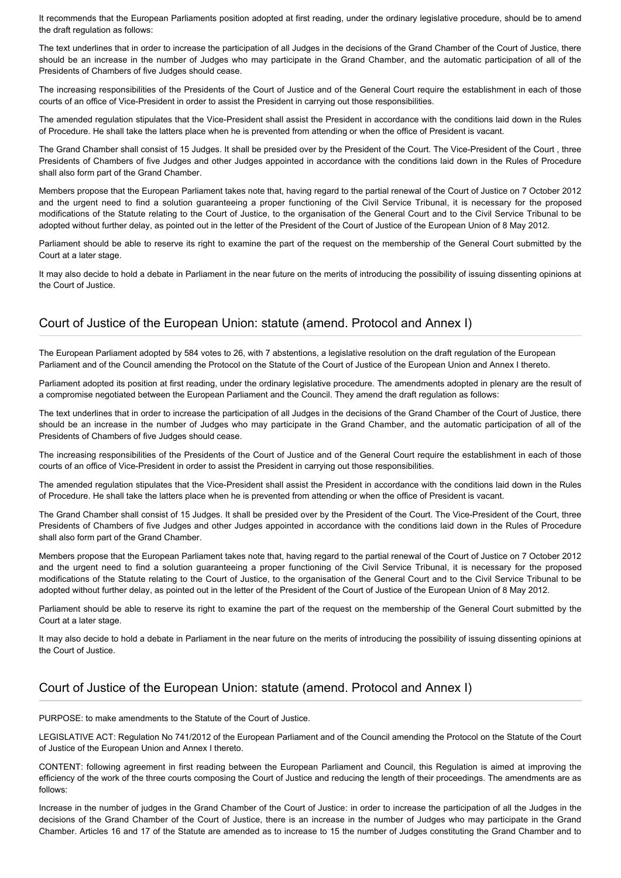It recommends that the European Parliaments position adopted at first reading, under the ordinary legislative procedure, should be to amend the draft regulation as follows:

The text underlines that in order to increase the participation of all Judges in the decisions of the Grand Chamber of the Court of Justice, there should be an increase in the number of Judges who may participate in the Grand Chamber, and the automatic participation of all of the Presidents of Chambers of five Judges should cease.

The increasing responsibilities of the Presidents of the Court of Justice and of the General Court require the establishment in each of those courts of an office of Vice-President in order to assist the President in carrying out those responsibilities.

The amended regulation stipulates that the Vice-President shall assist the President in accordance with the conditions laid down in the Rules of Procedure. He shall take the latters place when he is prevented from attending or when the office of President is vacant.

The Grand Chamber shall consist of 15 Judges. It shall be presided over by the President of the Court. The Vice-President of the Court , three Presidents of Chambers of five Judges and other Judges appointed in accordance with the conditions laid down in the Rules of Procedure shall also form part of the Grand Chamber.

Members propose that the European Parliament takes note that, having regard to the partial renewal of the Court of Justice on 7 October 2012 and the urgent need to find a solution guaranteeing a proper functioning of the Civil Service Tribunal, it is necessary for the proposed modifications of the Statute relating to the Court of Justice, to the organisation of the General Court and to the Civil Service Tribunal to be adopted without further delay, as pointed out in the letter of the President of the Court of Justice of the European Union of 8 May 2012.

Parliament should be able to reserve its right to examine the part of the request on the membership of the General Court submitted by the Court at a later stage.

It may also decide to hold a debate in Parliament in the near future on the merits of introducing the possibility of issuing dissenting opinions at the Court of Justice.

## Court of Justice of the European Union: statute (amend. Protocol and Annex I)

The European Parliament adopted by 584 votes to 26, with 7 abstentions, a legislative resolution on the draft regulation of the European Parliament and of the Council amending the Protocol on the Statute of the Court of Justice of the European Union and Annex I thereto.

Parliament adopted its position at first reading, under the ordinary legislative procedure. The amendments adopted in plenary are the result of a compromise negotiated between the European Parliament and the Council. They amend the draft regulation as follows:

The text underlines that in order to increase the participation of all Judges in the decisions of the Grand Chamber of the Court of Justice, there should be an increase in the number of Judges who may participate in the Grand Chamber, and the automatic participation of all of the Presidents of Chambers of five Judges should cease.

The increasing responsibilities of the Presidents of the Court of Justice and of the General Court require the establishment in each of those courts of an office of Vice-President in order to assist the President in carrying out those responsibilities.

The amended regulation stipulates that the Vice-President shall assist the President in accordance with the conditions laid down in the Rules of Procedure. He shall take the latters place when he is prevented from attending or when the office of President is vacant.

The Grand Chamber shall consist of 15 Judges. It shall be presided over by the President of the Court. The Vice-President of the Court, three Presidents of Chambers of five Judges and other Judges appointed in accordance with the conditions laid down in the Rules of Procedure shall also form part of the Grand Chamber.

Members propose that the European Parliament takes note that, having regard to the partial renewal of the Court of Justice on 7 October 2012 and the urgent need to find a solution guaranteeing a proper functioning of the Civil Service Tribunal, it is necessary for the proposed modifications of the Statute relating to the Court of Justice, to the organisation of the General Court and to the Civil Service Tribunal to be adopted without further delay, as pointed out in the letter of the President of the Court of Justice of the European Union of 8 May 2012.

Parliament should be able to reserve its right to examine the part of the request on the membership of the General Court submitted by the Court at a later stage.

It may also decide to hold a debate in Parliament in the near future on the merits of introducing the possibility of issuing dissenting opinions at the Court of Justice.

## Court of Justice of the European Union: statute (amend. Protocol and Annex I)

PURPOSE: to make amendments to the Statute of the Court of Justice.

LEGISLATIVE ACT: Regulation No 741/2012 of the European Parliament and of the Council amending the Protocol on the Statute of the Court of Justice of the European Union and Annex I thereto.

CONTENT: following agreement in first reading between the European Parliament and Council, this Regulation is aimed at improving the efficiency of the work of the three courts composing the Court of Justice and reducing the length of their proceedings. The amendments are as follows:

Increase in the number of judges in the Grand Chamber of the Court of Justice: in order to increase the participation of all the Judges in the decisions of the Grand Chamber of the Court of Justice, there is an increase in the number of Judges who may participate in the Grand Chamber. Articles 16 and 17 of the Statute are amended as to increase to 15 the number of Judges constituting the Grand Chamber and to